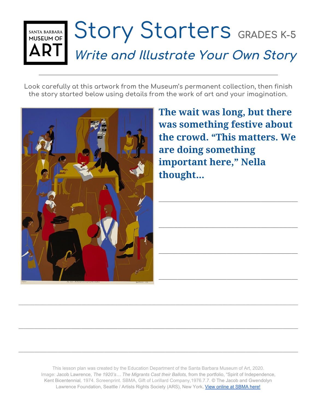## Story Starters GRADES K-5 SANTA BARBARA<br>MUSEUM OF **Write and Illustrate Your Own Story**

**Look carefully at this artwork from the Museum's permanent collection, then finish the story started below using details from the work of art and your imagination.**



**The wait was long, but there was something festive about the crowd. "This matters. We are doing something important here," Nella thought**…

**\_\_\_\_\_\_\_\_\_\_\_\_\_\_\_\_\_\_\_\_\_\_\_\_\_\_\_\_\_\_\_\_\_\_\_\_\_\_\_\_\_\_\_\_\_**

**\_\_\_\_\_\_\_\_\_\_\_\_\_\_\_\_\_\_\_\_\_\_\_\_\_\_\_\_\_\_\_\_\_\_\_\_\_\_\_\_\_\_\_\_\_**

**\_\_\_\_\_\_\_\_\_\_\_\_\_\_\_\_\_\_\_\_\_\_\_\_\_\_\_\_\_\_\_\_\_\_\_\_\_\_\_\_\_\_\_\_\_**

**\_\_\_\_\_\_\_\_\_\_\_\_\_\_\_\_\_\_\_\_\_\_\_\_\_\_\_\_\_\_\_\_\_\_\_\_\_\_\_\_\_\_\_\_\_**

This lesson plan was created by the Education Department of the Santa Barbara Museum of Art, 2020. Image: Jacob Lawrence, *The 1920's… The Migrants Cast their Ballots,* from the portfolio, "Spirit of Independence, Kent Bicentennial*,* 1974. Screenprint. SBMA, Gift of Lorillard Company,1976.7.7. © The Jacob and Gwendolyn Lawrence Foundation, Seattle / Artists Rights Society (ARS), New York. [View online at SBMA here!](http://collections.sbma.net/objects/16526/the-1920s-the-migrants-cast-their-ballots-from-the-port?ctx=392a367c-d1de-4872-9d80-56e7530ef000&idx=1)

**\_\_\_\_\_\_\_\_\_\_\_\_\_\_\_\_\_\_\_\_\_\_\_\_\_\_\_\_\_\_\_\_\_\_\_\_\_\_\_\_\_\_\_\_\_\_\_\_\_\_\_\_\_\_\_\_\_\_\_\_\_\_\_\_\_\_\_\_\_\_\_\_\_\_\_\_\_\_\_\_\_\_\_\_\_\_\_\_\_\_\_\_\_\_\_\_\_\_\_\_\_\_\_\_\_\_\_**

**\_\_\_\_\_\_\_\_\_\_\_\_\_\_\_\_\_\_\_\_\_\_\_\_\_\_\_\_\_\_\_\_\_\_\_\_\_\_\_\_\_\_\_\_\_\_\_\_\_\_\_\_\_\_\_\_\_\_\_\_\_\_\_\_\_\_\_\_\_\_\_\_\_\_\_\_\_\_\_\_\_\_\_\_\_\_\_\_\_\_\_\_\_\_\_\_\_\_\_\_\_\_\_\_\_\_\_**

**\_\_\_\_\_\_\_\_\_\_\_\_\_\_\_\_\_\_\_\_\_\_\_\_\_\_\_\_\_\_\_\_\_\_\_\_\_\_\_\_\_\_\_\_\_\_\_\_\_\_\_\_\_\_\_\_\_\_\_\_\_\_\_\_\_\_\_\_\_\_\_\_\_\_\_\_\_\_\_\_\_\_\_\_\_\_\_\_\_\_\_\_\_\_\_\_\_\_\_\_\_\_\_\_\_\_\_**